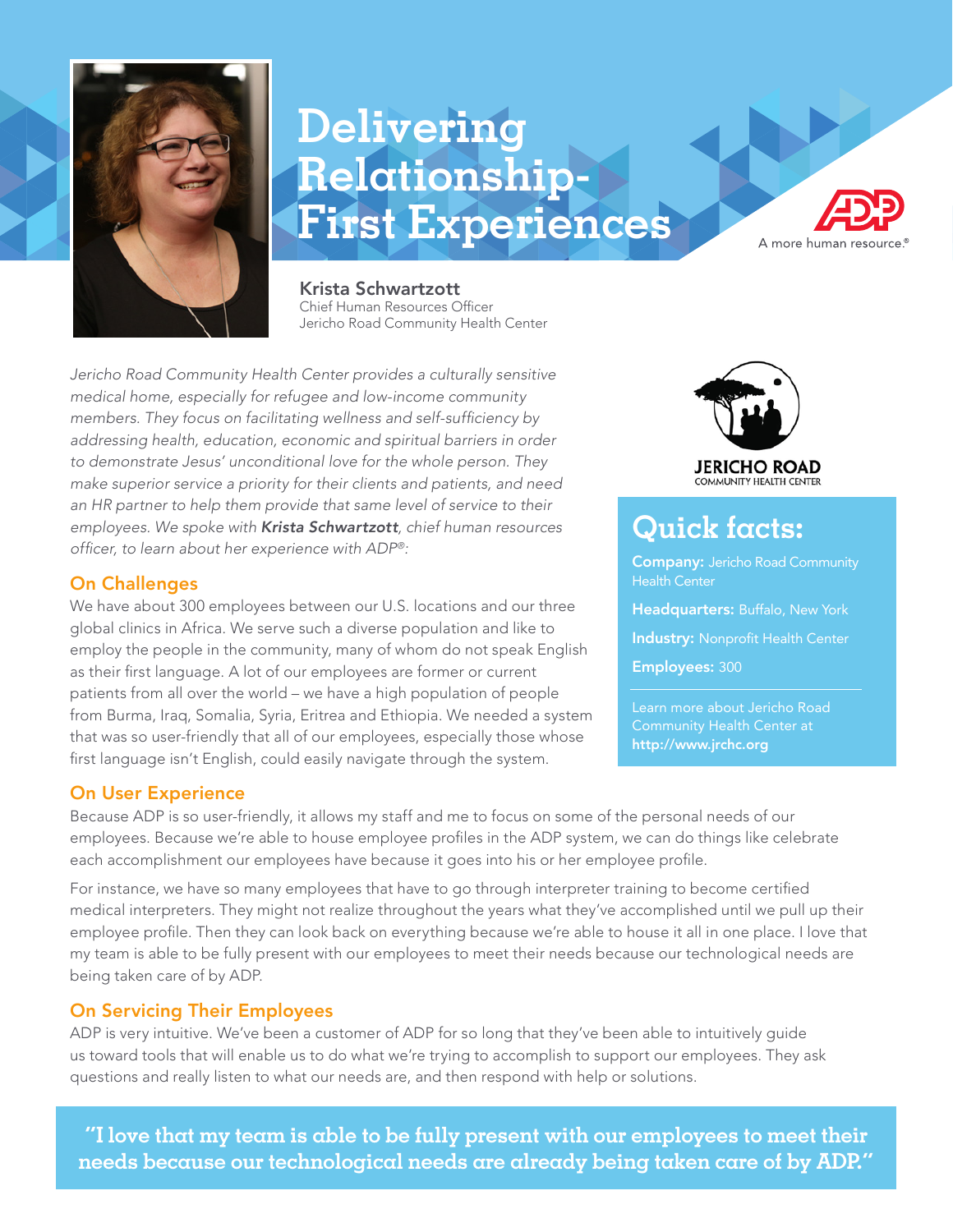

# **Delivering Relationship-First Experiences**



Krista Schwartzott Chief Human Resources Officer Jericho Road Community Health Center

*Jericho Road Community Health Center provides a culturally sensitive medical home, especially for refugee and low-income community* members. They focus on facilitating wellness and self-sufficiency by *addressing health, education, economic and spiritual barriers in order to demonstrate Jesus' unconditional love for the whole person. They make superior service a priority for their clients and patients, and need an HR partner to help them provide that same level of service to their employees. We spoke with Krista Schwartzott, chief human resources* officer, to learn about her experience with ADP*®:*

## On Challenges

We have about 300 employees between our U.S. locations and our three global clinics in Africa. We serve such a diverse population and like to employ the people in the community, many of whom do not speak English as their first language. A lot of our employees are former or current patients from all over the world – we have a high population of people from Burma, Iraq, Somalia, Syria, Eritrea and Ethiopia. We needed a system that was so user-friendly that all of our employees, especially those whose first language isn't English, could easily navigate through the system.

### On User Experience

**JERICHO ROAD** 

# **Quick facts:**

**Company: Jericho Road Community** Health Center

Headquarters: Buffalo, New York

Industry: Nonprofit Health Center

Employees: 300

Learn more about Jericho Road Community Health Center at http://www.jrchc.org

Because ADP is so user-friendly, it allows my staff and me to focus on some of the personal needs of our employees. Because we're able to house employee profiles in the ADP system, we can do things like celebrate each accomplishment our employees have because it goes into his or her employee profile.

For instance, we have so many employees that have to go through interpreter training to become certified medical interpreters. They might not realize throughout the years what they've accomplished until we pull up their employee profile. Then they can look back on everything because we're able to house it all in one place. I love that my team is able to be fully present with our employees to meet their needs because our technological needs are being taken care of by ADP.

# On Servicing Their Employees

ADP is very intuitive. We've been a customer of ADP for so long that they've been able to intuitively guide us toward tools that will enable us to do what we're trying to accomplish to support our employees. They ask questions and really listen to what our needs are, and then respond with help or solutions.

**"I love that my team is able to be fully present with our employees to meet their needs because our technological needs are already being taken care of by ADP."**